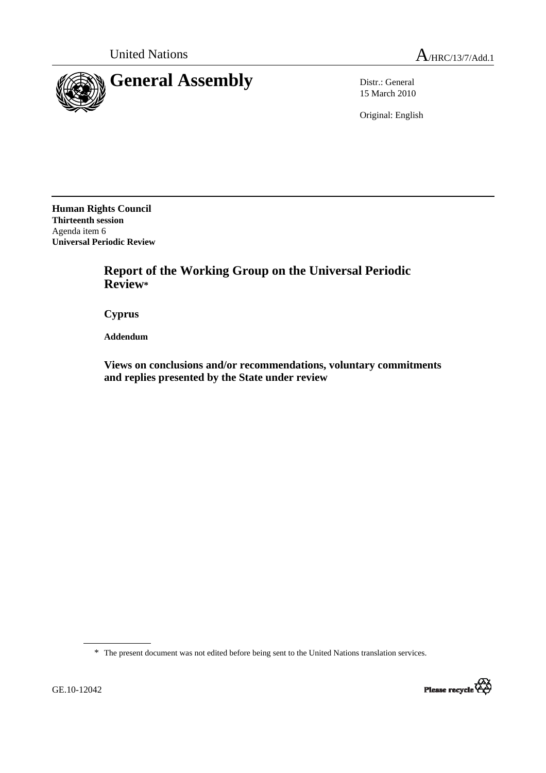

15 March 2010

Original: English

**Human Rights Council Thirteenth session**  Agenda item 6 **Universal Periodic Review** 

> **Report of the Working Group on the Universal Periodic Review\***

 **Cyprus** 

 **Addendum** 

 **Views on conclusions and/or recommendations, voluntary commitments and replies presented by the State under review** 

\* The present document was not edited before being sent to the United Nations translation services.

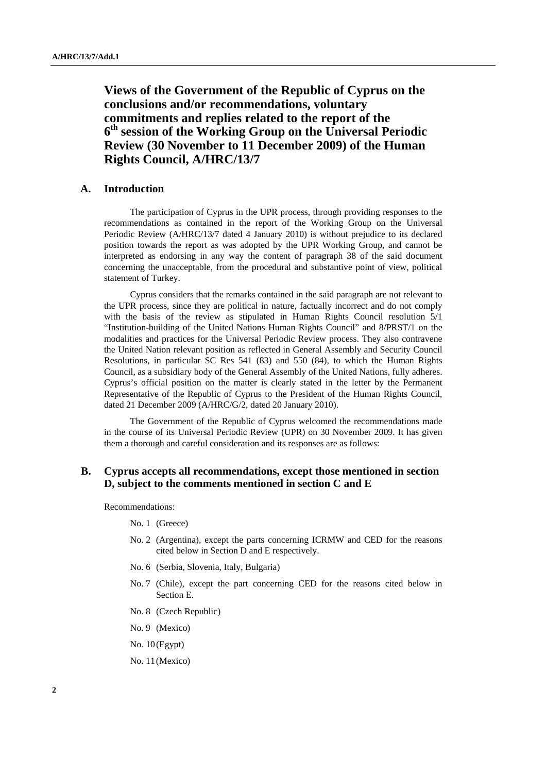**Views of the Government of the Republic of Cyprus on the conclusions and/or recommendations, voluntary commitments and replies related to the report of the 6th session of the Working Group on the Universal Periodic Review (30 November to 11 December 2009) of the Human Rights Council, A/HRC/13/7** 

## **A. Introduction**

The participation of Cyprus in the UPR process, through providing responses to the recommendations as contained in the report of the Working Group on the Universal Periodic Review (A/HRC/13/7 dated 4 January 2010) is without prejudice to its declared position towards the report as was adopted by the UPR Working Group, and cannot be interpreted as endorsing in any way the content of paragraph 38 of the said document concerning the unacceptable, from the procedural and substantive point of view, political statement of Turkey.

Cyprus considers that the remarks contained in the said paragraph are not relevant to the UPR process, since they are political in nature, factually incorrect and do not comply with the basis of the review as stipulated in Human Rights Council resolution 5/1 "Institution-building of the United Nations Human Rights Council" and 8/PRST/1 on the modalities and practices for the Universal Periodic Review process. They also contravene the United Nation relevant position as reflected in General Assembly and Security Council Resolutions, in particular SC Res 541 (83) and 550 (84), to which the Human Rights Council, as a subsidiary body of the General Assembly of the United Nations, fully adheres. Cyprus's official position on the matter is clearly stated in the letter by the Permanent Representative of the Republic of Cyprus to the President of the Human Rights Council, dated 21 December 2009 (A/HRC/G/2, dated 20 January 2010).

The Government of the Republic of Cyprus welcomed the recommendations made in the course of its Universal Periodic Review (UPR) on 30 November 2009. It has given them a thorough and careful consideration and its responses are as follows:

## **B. Cyprus accepts all recommendations, except those mentioned in section D, subject to the comments mentioned in section C and E**

Recommendations:

- No. 1 (Greece)
- No. 2 (Argentina), except the parts concerning ICRMW and CED for the reasons cited below in Section D and E respectively.
- No. 6 (Serbia, Slovenia, Italy, Bulgaria)
- No. 7 (Chile), except the part concerning CED for the reasons cited below in Section E.
- No. 8 (Czech Republic)
- No. 9 (Mexico)
- No. 10 (Egypt)
- No. 11 (Mexico)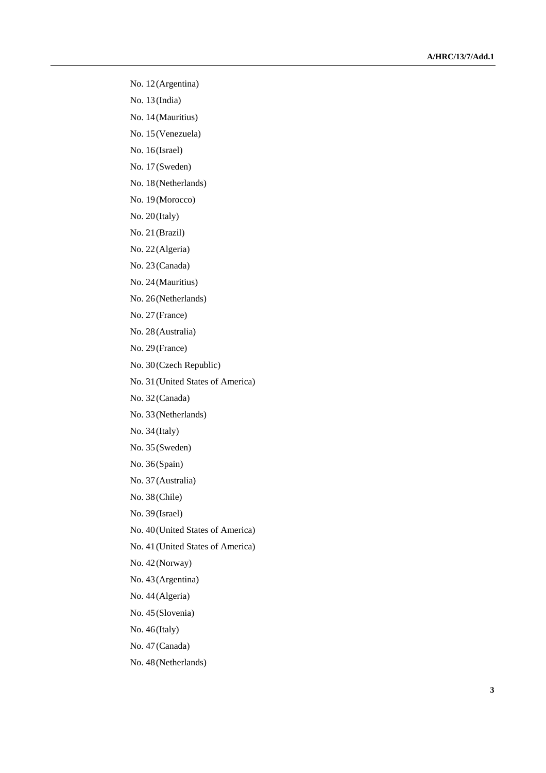- No. 12 (Argentina)
- No. 13 (India)
- No. 14 (Mauritius)
- No. 15 (Venezuela)
- No. 16 (Israel)
- No. 17 (Sweden)
- No. 18 (Netherlands)
- No. 19 (Morocco)
- No. 20 (Italy)
- No. 21 (Brazil)
- No. 22 (Algeria)
- No. 23 (Canada)
- No. 24 (Mauritius)
- No. 26 (Netherlands)
- No. 27 (France)
- No. 28 (Australia)
- No. 29 (France)
- No. 30 (Czech Republic)
- No. 31 (United States of America)
- No. 32 (Canada)
- No. 33 (Netherlands)
- No. 34 (Italy)
- No. 35 (Sweden)
- No. 36 (Spain)
- No. 37 (Australia)
- No. 38 (Chile)
- No. 39 (Israel)
- No. 40 (United States of America)
- No. 41 (United States of America)
- No. 42 (Norway)
- No. 43 (Argentina)
- No. 44 (Algeria)
- No. 45 (Slovenia)
- No. 46 (Italy)
- No. 47 (Canada)
- No. 48 (Netherlands)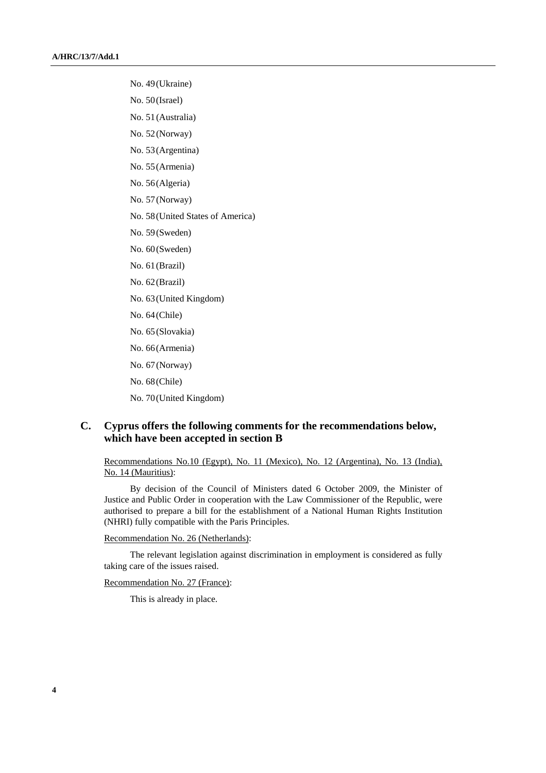No. 49 (Ukraine) No. 50 (Israel) No. 51 (Australia) No. 52 (Norway) No. 53 (Argentina) No. 55 (Armenia) No. 56 (Algeria) No. 57 (Norway) No. 58 (United States of America) No. 59 (Sweden) No. 60 (Sweden) No. 61 (Brazil) No. 62 (Brazil) No. 63 (United Kingdom) No. 64 (Chile) No. 65 (Slovakia) No. 66 (Armenia) No. 67 (Norway) No. 68 (Chile) No. 70 (United Kingdom)

# **C. Cyprus offers the following comments for the recommendations below, which have been accepted in section B**

Recommendations No.10 (Egypt), No. 11 (Mexico), No. 12 (Argentina), No. 13 (India), No. 14 (Mauritius):

By decision of the Council of Ministers dated 6 October 2009, the Minister of Justice and Public Order in cooperation with the Law Commissioner of the Republic, were authorised to prepare a bill for the establishment of a National Human Rights Institution (NHRI) fully compatible with the Paris Principles.

Recommendation No. 26 (Netherlands):

The relevant legislation against discrimination in employment is considered as fully taking care of the issues raised.

Recommendation No. 27 (France):

This is already in place.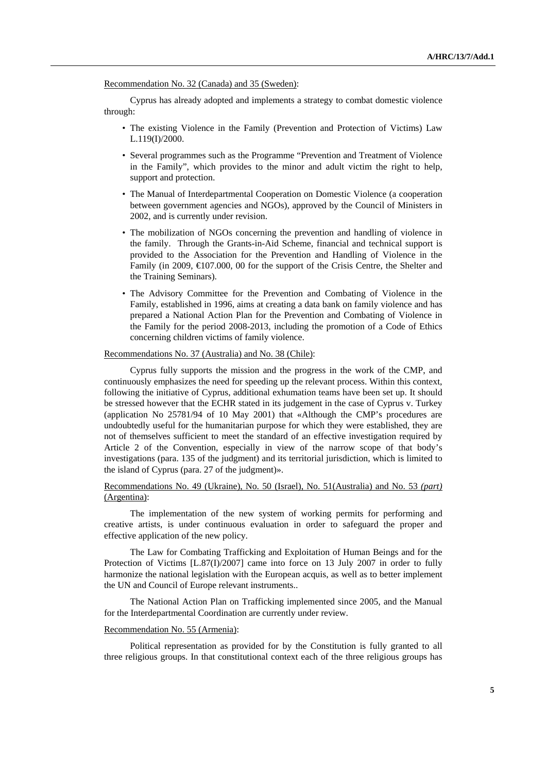Recommendation No. 32 (Canada) and 35 (Sweden):

Cyprus has already adopted and implements a strategy to combat domestic violence through:

- The existing Violence in the Family (Prevention and Protection of Victims) Law L.119(I)/2000.
- Several programmes such as the Programme "Prevention and Treatment of Violence in the Family", which provides to the minor and adult victim the right to help, support and protection.
- The Manual of Interdepartmental Cooperation on Domestic Violence (a cooperation between government agencies and NGOs), approved by the Council of Ministers in 2002, and is currently under revision.
- The mobilization of NGOs concerning the prevention and handling of violence in the family. Through the Grants-in-Aid Scheme, financial and technical support is provided to the Association for the Prevention and Handling of Violence in the Family (in 2009, €107.000, 00 for the support of the Crisis Centre, the Shelter and the Training Seminars).
- The Advisory Committee for the Prevention and Combating of Violence in the Family, established in 1996, aims at creating a data bank on family violence and has prepared a National Action Plan for the Prevention and Combating of Violence in the Family for the period 2008-2013, including the promotion of a Code of Ethics concerning children victims of family violence.

#### Recommendations No. 37 (Australia) and No. 38 (Chile):

Cyprus fully supports the mission and the progress in the work of the CMP, and continuously emphasizes the need for speeding up the relevant process. Within this context, following the initiative of Cyprus, additional exhumation teams have been set up. It should be stressed however that the ECHR stated in its judgement in the case of Cyprus v. Turkey (application No 25781/94 of 10 May 2001) that «Although the CMP's procedures are undoubtedly useful for the humanitarian purpose for which they were established, they are not of themselves sufficient to meet the standard of an effective investigation required by Article 2 of the Convention, especially in view of the narrow scope of that body's investigations (para. 135 of the judgment) and its territorial jurisdiction, which is limited to the island of Cyprus (para. 27 of the judgment)».

## Recommendations No. 49 (Ukraine), No. 50 (Israel), No. 51(Australia) and No. 53 *(part)*  (Argentina):

The implementation of the new system of working permits for performing and creative artists, is under continuous evaluation in order to safeguard the proper and effective application of the new policy.

The Law for Combating Trafficking and Exploitation of Human Beings and for the Protection of Victims [L.87(I)/2007] came into force on 13 July 2007 in order to fully harmonize the national legislation with the European acquis, as well as to better implement the UN and Council of Europe relevant instruments..

The National Action Plan on Trafficking implemented since 2005, and the Manual for the Interdepartmental Coordination are currently under review.

### Recommendation No. 55 (Armenia):

Political representation as provided for by the Constitution is fully granted to all three religious groups. In that constitutional context each of the three religious groups has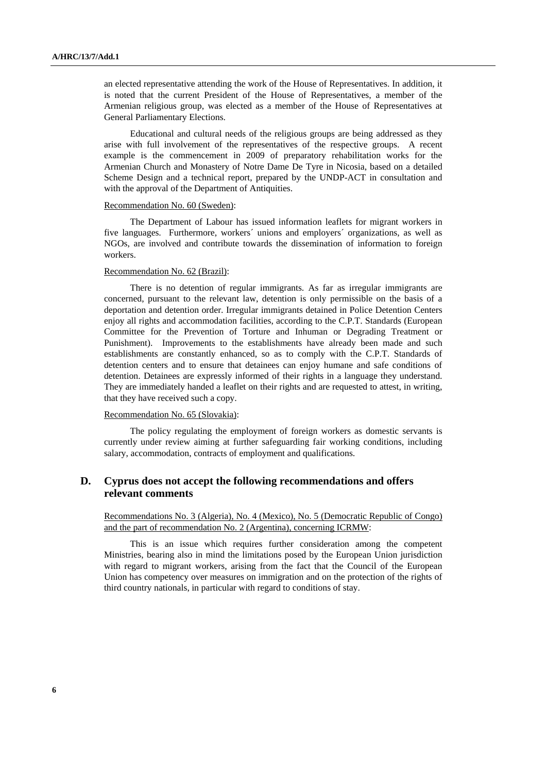an elected representative attending the work of the House of Representatives. In addition, it is noted that the current President of the House of Representatives, a member of the Armenian religious group, was elected as a member of the House of Representatives at General Parliamentary Elections.

Educational and cultural needs of the religious groups are being addressed as they arise with full involvement of the representatives of the respective groups. A recent example is the commencement in 2009 of preparatory rehabilitation works for the Armenian Church and Monastery of Notre Dame De Tyre in Nicosia, based on a detailed Scheme Design and a technical report, prepared by the UNDP-ACT in consultation and with the approval of the Department of Antiquities.

### Recommendation No. 60 (Sweden):

The Department of Labour has issued information leaflets for migrant workers in five languages. Furthermore, workers´ unions and employers´ organizations, as well as NGOs, are involved and contribute towards the dissemination of information to foreign workers.

### Recommendation No. 62 (Brazil):

There is no detention of regular immigrants. As far as irregular immigrants are concerned, pursuant to the relevant law, detention is only permissible on the basis of a deportation and detention order. Irregular immigrants detained in Police Detention Centers enjoy all rights and accommodation facilities, according to the C.P.T. Standards (European Committee for the Prevention of Torture and Inhuman or Degrading Treatment or Punishment). Improvements to the establishments have already been made and such establishments are constantly enhanced, so as to comply with the C.P.T. Standards of detention centers and to ensure that detainees can enjoy humane and safe conditions of detention. Detainees are expressly informed of their rights in a language they understand. They are immediately handed a leaflet on their rights and are requested to attest, in writing, that they have received such a copy.

### Recommendation No. 65 (Slovakia):

The policy regulating the employment of foreign workers as domestic servants is currently under review aiming at further safeguarding fair working conditions, including salary, accommodation, contracts of employment and qualifications.

# **D. Cyprus does not accept the following recommendations and offers relevant comments**

Recommendations No. 3 (Algeria), No. 4 (Mexico), No. 5 (Democratic Republic of Congo) and the part of recommendation No. 2 (Argentina), concerning ICRMW:

This is an issue which requires further consideration among the competent Ministries, bearing also in mind the limitations posed by the European Union jurisdiction with regard to migrant workers, arising from the fact that the Council of the European Union has competency over measures on immigration and on the protection of the rights of third country nationals, in particular with regard to conditions of stay.